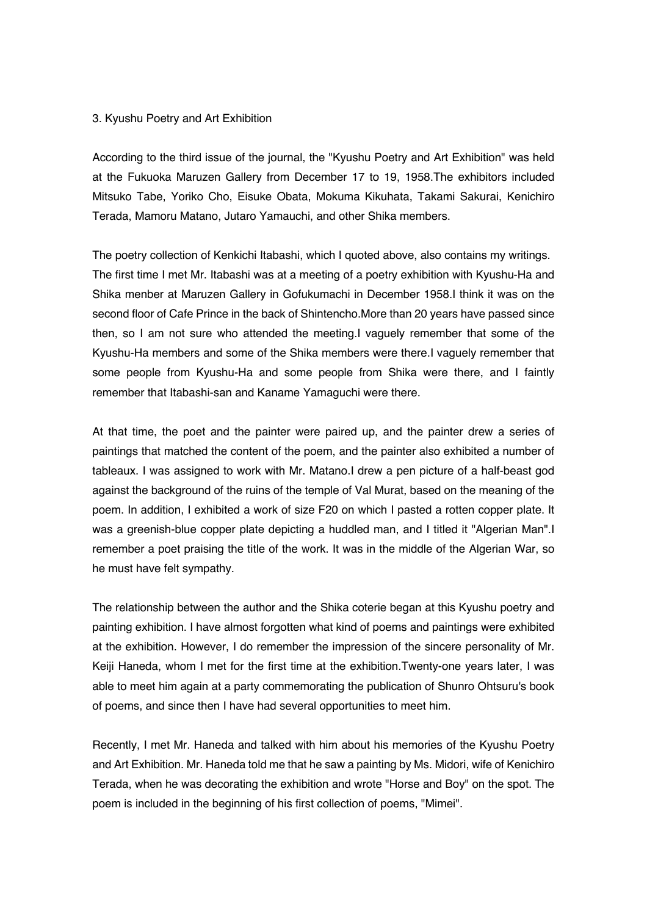## 3. Kyushu Poetry and Art Exhibition

According to the third issue of the journal, the "Kyushu Poetry and Art Exhibition" was held at the Fukuoka Maruzen Gallery from December 17 to 19, 1958.The exhibitors included Mitsuko Tabe, Yoriko Cho, Eisuke Obata, Mokuma Kikuhata, Takami Sakurai, Kenichiro Terada, Mamoru Matano, Jutaro Yamauchi, and other Shika members.

The poetry collection of Kenkichi Itabashi, which I quoted above, also contains my writings. The first time I met Mr. Itabashi was at a meeting of a poetry exhibition with Kyushu-Ha and Shika menber at Maruzen Gallery in Gofukumachi in December 1958.I think it was on the second floor of Cafe Prince in the back of Shintencho.More than 20 years have passed since then, so I am not sure who attended the meeting.I vaguely remember that some of the Kyushu-Ha members and some of the Shika members were there.I vaguely remember that some people from Kyushu-Ha and some people from Shika were there, and I faintly remember that Itabashi-san and Kaname Yamaguchi were there.

At that time, the poet and the painter were paired up, and the painter drew a series of paintings that matched the content of the poem, and the painter also exhibited a number of tableaux. I was assigned to work with Mr. Matano.I drew a pen picture of a half-beast god against the background of the ruins of the temple of Val Murat, based on the meaning of the poem. In addition, I exhibited a work of size F20 on which I pasted a rotten copper plate. It was a greenish-blue copper plate depicting a huddled man, and I titled it "Algerian Man".I remember a poet praising the title of the work. It was in the middle of the Algerian War, so he must have felt sympathy.

The relationship between the author and the Shika coterie began at this Kyushu poetry and painting exhibition. I have almost forgotten what kind of poems and paintings were exhibited at the exhibition. However, I do remember the impression of the sincere personality of Mr. Keiji Haneda, whom I met for the first time at the exhibition.Twenty-one years later, I was able to meet him again at a party commemorating the publication of Shunro Ohtsuru's book of poems, and since then I have had several opportunities to meet him.

Recently, I met Mr. Haneda and talked with him about his memories of the Kyushu Poetry and Art Exhibition. Mr. Haneda told me that he saw a painting by Ms. Midori, wife of Kenichiro Terada, when he was decorating the exhibition and wrote "Horse and Boy" on the spot. The poem is included in the beginning of his first collection of poems, "Mimei".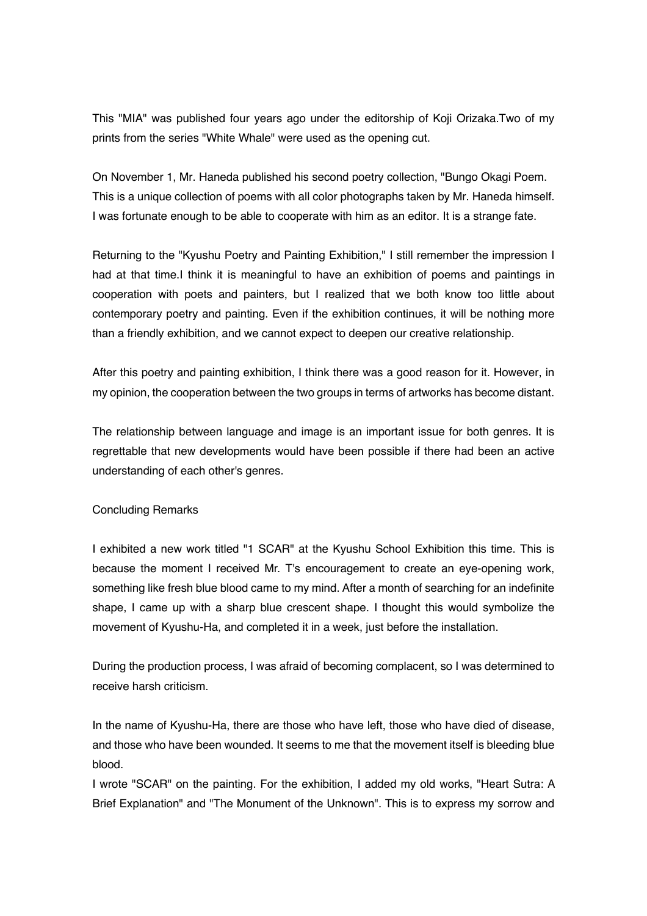This "MIA" was published four years ago under the editorship of Koji Orizaka.Two of my prints from the series "White Whale" were used as the opening cut.

On November 1, Mr. Haneda published his second poetry collection, "Bungo Okagi Poem. This is a unique collection of poems with all color photographs taken by Mr. Haneda himself. I was fortunate enough to be able to cooperate with him as an editor. It is a strange fate.

Returning to the "Kyushu Poetry and Painting Exhibition," I still remember the impression I had at that time.I think it is meaningful to have an exhibition of poems and paintings in cooperation with poets and painters, but I realized that we both know too little about contemporary poetry and painting. Even if the exhibition continues, it will be nothing more than a friendly exhibition, and we cannot expect to deepen our creative relationship.

After this poetry and painting exhibition, I think there was a good reason for it. However, in my opinion, the cooperation between the two groups in terms of artworks has become distant.

The relationship between language and image is an important issue for both genres. It is regrettable that new developments would have been possible if there had been an active understanding of each other's genres.

## Concluding Remarks

I exhibited a new work titled "1 SCAR" at the Kyushu School Exhibition this time. This is because the moment I received Mr. T's encouragement to create an eye-opening work, something like fresh blue blood came to my mind. After a month of searching for an indefinite shape, I came up with a sharp blue crescent shape. I thought this would symbolize the movement of Kyushu-Ha, and completed it in a week, just before the installation.

During the production process, I was afraid of becoming complacent, so I was determined to receive harsh criticism.

In the name of Kyushu-Ha, there are those who have left, those who have died of disease, and those who have been wounded. It seems to me that the movement itself is bleeding blue blood.

I wrote "SCAR" on the painting. For the exhibition, I added my old works, "Heart Sutra: A Brief Explanation" and "The Monument of the Unknown". This is to express my sorrow and